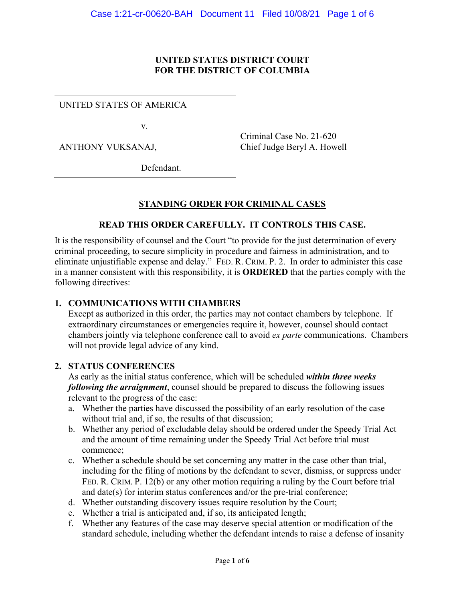#### **UNITED STATES DISTRICT COURT FOR THE DISTRICT OF COLUMBIA**

UNITED STATES OF AMERICA

v.

ANTHONY VUKSANAJ,

Criminal Case No. 21-620 Chief Judge Beryl A. Howell

Defendant.

## **STANDING ORDER FOR CRIMINAL CASES**

#### **READ THIS ORDER CAREFULLY. IT CONTROLS THIS CASE.**

It is the responsibility of counsel and the Court "to provide for the just determination of every criminal proceeding, to secure simplicity in procedure and fairness in administration, and to eliminate unjustifiable expense and delay." FED. R. CRIM. P. 2. In order to administer this case in a manner consistent with this responsibility, it is **ORDERED** that the parties comply with the following directives:

#### **1. COMMUNICATIONS WITH CHAMBERS**

Except as authorized in this order, the parties may not contact chambers by telephone. If extraordinary circumstances or emergencies require it, however, counsel should contact chambers jointly via telephone conference call to avoid *ex parte* communications. Chambers will not provide legal advice of any kind.

#### **2. STATUS CONFERENCES**

As early as the initial status conference, which will be scheduled *within three weeks following the arraignment*, counsel should be prepared to discuss the following issues relevant to the progress of the case:

- a. Whether the parties have discussed the possibility of an early resolution of the case without trial and, if so, the results of that discussion;
- b. Whether any period of excludable delay should be ordered under the Speedy Trial Act and the amount of time remaining under the Speedy Trial Act before trial must commence;
- c. Whether a schedule should be set concerning any matter in the case other than trial, including for the filing of motions by the defendant to sever, dismiss, or suppress under FED. R. CRIM. P. 12(b) or any other motion requiring a ruling by the Court before trial and date(s) for interim status conferences and/or the pre-trial conference;
- d. Whether outstanding discovery issues require resolution by the Court;
- e. Whether a trial is anticipated and, if so, its anticipated length;
- f. Whether any features of the case may deserve special attention or modification of the standard schedule, including whether the defendant intends to raise a defense of insanity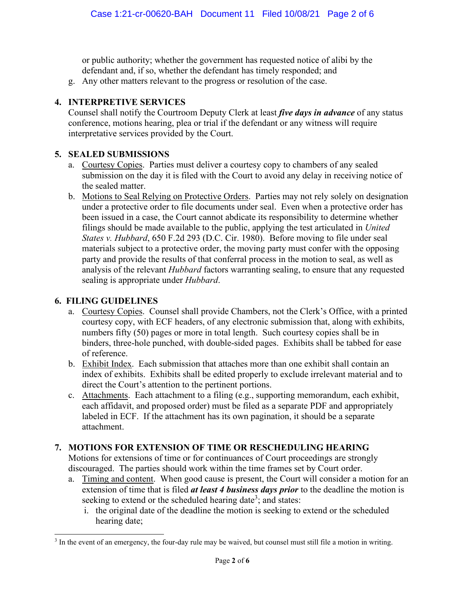or public authority; whether the government has requested notice of alibi by the defendant and, if so, whether the defendant has timely responded; and

g. Any other matters relevant to the progress or resolution of the case.

## **4. INTERPRETIVE SERVICES**

Counsel shall notify the Courtroom Deputy Clerk at least *five days in advance* of any status conference, motions hearing, plea or trial if the defendant or any witness will require interpretative services provided by the Court.

## **5. SEALED SUBMISSIONS**

- a. Courtesy Copies. Parties must deliver a courtesy copy to chambers of any sealed submission on the day it is filed with the Court to avoid any delay in receiving notice of the sealed matter.
- b. Motions to Seal Relying on Protective Orders. Parties may not rely solely on designation under a protective order to file documents under seal. Even when a protective order has been issued in a case, the Court cannot abdicate its responsibility to determine whether filings should be made available to the public, applying the test articulated in *United States v. Hubbard*, 650 F.2d 293 (D.C. Cir. 1980). Before moving to file under seal materials subject to a protective order, the moving party must confer with the opposing party and provide the results of that conferral process in the motion to seal, as well as analysis of the relevant *Hubbard* factors warranting sealing, to ensure that any requested sealing is appropriate under *Hubbard*.

## **6. FILING GUIDELINES**

- a. Courtesy Copies. Counsel shall provide Chambers, not the Clerk's Office, with a printed courtesy copy, with ECF headers, of any electronic submission that, along with exhibits, numbers fifty (50) pages or more in total length. Such courtesy copies shall be in binders, three-hole punched, with double-sided pages. Exhibits shall be tabbed for ease of reference.
- b. Exhibit Index. Each submission that attaches more than one exhibit shall contain an index of exhibits. Exhibits shall be edited properly to exclude irrelevant material and to direct the Court's attention to the pertinent portions.
- c. Attachments. Each attachment to a filing (e.g., supporting memorandum, each exhibit, each affidavit, and proposed order) must be filed as a separate PDF and appropriately labeled in ECF. If the attachment has its own pagination, it should be a separate attachment.

# **7. MOTIONS FOR EXTENSION OF TIME OR RESCHEDULING HEARING**

Motions for extensions of time or for continuances of Court proceedings are strongly discouraged. The parties should work within the time frames set by Court order.

- a. Timing and content. When good cause is present, the Court will consider a motion for an extension of time that is filed *at least 4 business days prior* to the deadline the motion is seeking to extend or the scheduled hearing date<sup>3</sup>; and states:
	- i. the original date of the deadline the motion is seeking to extend or the scheduled hearing date;

<sup>&</sup>lt;sup>3</sup> In the event of an emergency, the four-day rule may be waived, but counsel must still file a motion in writing.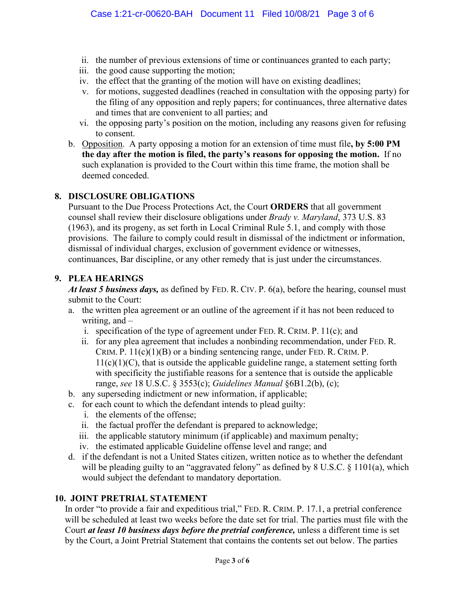- ii. the number of previous extensions of time or continuances granted to each party;
- iii. the good cause supporting the motion;
- iv. the effect that the granting of the motion will have on existing deadlines;
- v. for motions, suggested deadlines (reached in consultation with the opposing party) for the filing of any opposition and reply papers; for continuances, three alternative dates and times that are convenient to all parties; and
- vi. the opposing party's position on the motion, including any reasons given for refusing to consent.
- b. Opposition. A party opposing a motion for an extension of time must file**, by 5:00 PM the day after the motion is filed, the party's reasons for opposing the motion.** If no such explanation is provided to the Court within this time frame, the motion shall be deemed conceded.

## **8. DISCLOSURE OBLIGATIONS**

Pursuant to the Due Process Protections Act, the Court **ORDERS** that all government counsel shall review their disclosure obligations under *Brady v. Maryland*, 373 U.S. 83 (1963), and its progeny, as set forth in Local Criminal Rule 5.1, and comply with those provisions. The failure to comply could result in dismissal of the indictment or information, dismissal of individual charges, exclusion of government evidence or witnesses, continuances, Bar discipline, or any other remedy that is just under the circumstances.

#### **9. PLEA HEARINGS**

*At least 5 business days,* as defined by FED. R. CIV. P. 6(a), before the hearing, counsel must submit to the Court:

- a. the written plea agreement or an outline of the agreement if it has not been reduced to writing, and –
	- i. specification of the type of agreement under FED. R. CRIM. P. 11(c); and
	- ii. for any plea agreement that includes a nonbinding recommendation, under FED. R. CRIM. P.  $11(c)(1)(B)$  or a binding sentencing range, under FED. R. CRIM. P.  $11(c)(1)(C)$ , that is outside the applicable guideline range, a statement setting forth with specificity the justifiable reasons for a sentence that is outside the applicable range, *see* 18 U.S.C. § 3553(c); *Guidelines Manual* §6B1.2(b), (c);
- b. any superseding indictment or new information, if applicable;
- c. for each count to which the defendant intends to plead guilty:
	- i. the elements of the offense;
	- ii. the factual proffer the defendant is prepared to acknowledge;
	- iii. the applicable statutory minimum (if applicable) and maximum penalty;
	- iv. the estimated applicable Guideline offense level and range; and
- d. if the defendant is not a United States citizen, written notice as to whether the defendant will be pleading guilty to an "aggravated felony" as defined by 8 U.S.C. § 1101(a), which would subject the defendant to mandatory deportation.

## **10. JOINT PRETRIAL STATEMENT**

In order "to provide a fair and expeditious trial," FED. R. CRIM. P. 17.1, a pretrial conference will be scheduled at least two weeks before the date set for trial. The parties must file with the Court *at least 10 business days before the pretrial conference,* unless a different time is set by the Court, a Joint Pretrial Statement that contains the contents set out below. The parties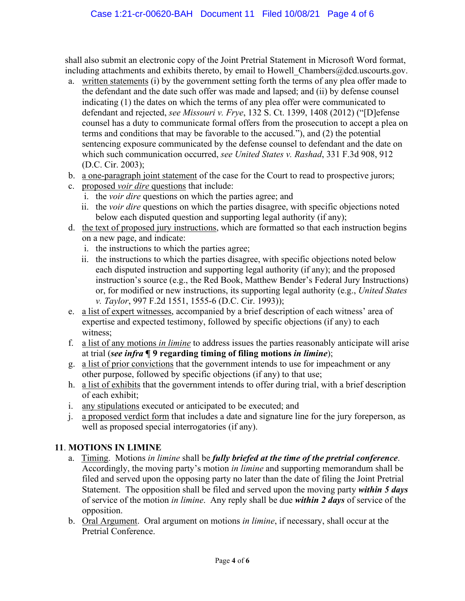shall also submit an electronic copy of the Joint Pretrial Statement in Microsoft Word format, including attachments and exhibits thereto, by email to Howell Chambers@dcd.uscourts.gov.

- a. written statements (i) by the government setting forth the terms of any plea offer made to the defendant and the date such offer was made and lapsed; and (ii) by defense counsel indicating (1) the dates on which the terms of any plea offer were communicated to defendant and rejected, *see Missouri v. Frye*, 132 S. Ct. 1399, 1408 (2012) ("[D]efense counsel has a duty to communicate formal offers from the prosecution to accept a plea on terms and conditions that may be favorable to the accused."), and (2) the potential sentencing exposure communicated by the defense counsel to defendant and the date on which such communication occurred, *see United States v. Rashad*, 331 F.3d 908, 912 (D.C. Cir. 2003);
- b. a one-paragraph joint statement of the case for the Court to read to prospective jurors;
- c. proposed *voir dire* questions that include:
	- i. the *voir dire* questions on which the parties agree; and
	- ii. the *voir dire* questions on which the parties disagree, with specific objections noted below each disputed question and supporting legal authority (if any);
- d. the text of proposed jury instructions, which are formatted so that each instruction begins on a new page, and indicate:
	- i. the instructions to which the parties agree;
	- ii. the instructions to which the parties disagree, with specific objections noted below each disputed instruction and supporting legal authority (if any); and the proposed instruction's source (e.g., the Red Book, Matthew Bender's Federal Jury Instructions) or, for modified or new instructions, its supporting legal authority (e.g., *United States v. Taylor*, 997 F.2d 1551, 1555-6 (D.C. Cir. 1993));
- e. a list of expert witnesses, accompanied by a brief description of each witness' area of expertise and expected testimony, followed by specific objections (if any) to each witness;
- f. a list of any motions *in limine* to address issues the parties reasonably anticipate will arise at trial (*see infra* **¶ 9 regarding timing of filing motions** *in limine*);
- g. a list of prior convictions that the government intends to use for impeachment or any other purpose, followed by specific objections (if any) to that use;
- h. a list of exhibits that the government intends to offer during trial, with a brief description of each exhibit;
- i. any stipulations executed or anticipated to be executed; and
- j. a proposed verdict form that includes a date and signature line for the jury foreperson, as well as proposed special interrogatories (if any).

# **11**. **MOTIONS IN LIMINE**

- a. Timing.Motions *in limine* shall be *fully briefed at the time of the pretrial conference*. Accordingly, the moving party's motion *in limine* and supporting memorandum shall be filed and served upon the opposing party no later than the date of filing the Joint Pretrial Statement. The opposition shall be filed and served upon the moving party *within 5 days* of service of the motion *in limine*. Any reply shall be due *within 2 days* of service of the opposition.
- b. Oral Argument. Oral argument on motions *in limine*, if necessary, shall occur at the Pretrial Conference.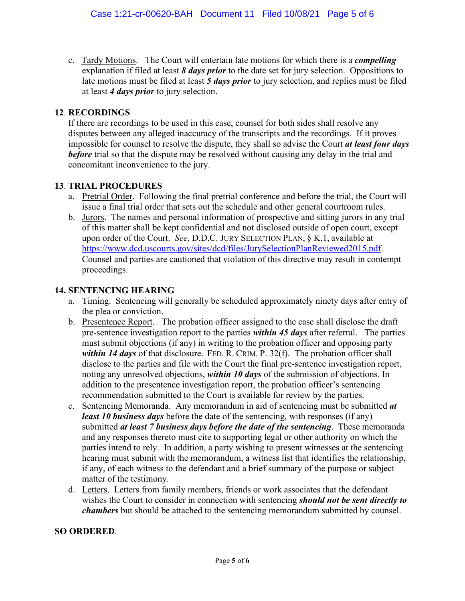c. Tardy Motions. The Court will entertain late motions for which there is a *compelling* explanation if filed at least *8 days prior* to the date set for jury selection. Oppositions to late motions must be filed at least *5 days prior* to jury selection, and replies must be filed at least *4 days prior* to jury selection.

## **12**. **RECORDINGS**

If there are recordings to be used in this case, counsel for both sides shall resolve any disputes between any alleged inaccuracy of the transcripts and the recordings. If it proves impossible for counsel to resolve the dispute, they shall so advise the Court *at least four days before* trial so that the dispute may be resolved without causing any delay in the trial and concomitant inconvenience to the jury.

## **13**. **TRIAL PROCEDURES**

- a. Pretrial Order. Following the final pretrial conference and before the trial, the Court will issue a final trial order that sets out the schedule and other general courtroom rules.
- b. Jurors. The names and personal information of prospective and sitting jurors in any trial of this matter shall be kept confidential and not disclosed outside of open court, except upon order of the Court. *See*, D.D.C. JURY SELECTION PLAN, § K.1, available at https://www.dcd.uscourts.gov/sites/dcd/files/JurySelectionPlanReviewed2015.pdf. Counsel and parties are cautioned that violation of this directive may result in contempt proceedings.

#### **14. SENTENCING HEARING**

- a. Timing. Sentencing will generally be scheduled approximately ninety days after entry of the plea or conviction.
- b. Presentence Report. The probation officer assigned to the case shall disclose the draft pre-sentence investigation report to the parties *within 45 days* after referral. The parties must submit objections (if any) in writing to the probation officer and opposing party *within 14 days* of that disclosure. FED. R. CRIM. P. 32(f). The probation officer shall disclose to the parties and file with the Court the final pre-sentence investigation report, noting any unresolved objections, *within 10 days* of the submission of objections. In addition to the presentence investigation report, the probation officer's sentencing recommendation submitted to the Court is available for review by the parties.
- c. Sentencing Memoranda. Any memorandum in aid of sentencing must be submitted *at least 10 business days* before the date of the sentencing, with responses (if any) submitted *at least 7 business days before the date of the sentencing*. These memoranda and any responses thereto must cite to supporting legal or other authority on which the parties intend to rely. In addition, a party wishing to present witnesses at the sentencing hearing must submit with the memorandum, a witness list that identifies the relationship, if any, of each witness to the defendant and a brief summary of the purpose or subject matter of the testimony.
- d. Letters. Letters from family members, friends or work associates that the defendant wishes the Court to consider in connection with sentencing *should not be sent directly to chambers* but should be attached to the sentencing memorandum submitted by counsel.

#### **SO ORDERED**.